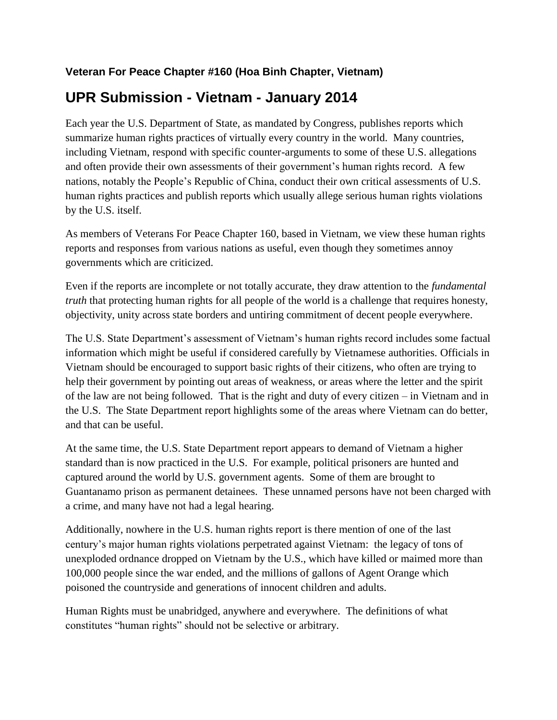## **Veteran For Peace Chapter #160 (Hoa Binh Chapter, Vietnam)**

## **UPR Submission - Vietnam - January 2014**

Each year the U.S. Department of State, as mandated by Congress, publishes reports which summarize human rights practices of virtually every country in the world. Many countries, including Vietnam, respond with specific counter-arguments to some of these U.S. allegations and often provide their own assessments of their government's human rights record. A few nations, notably the People's Republic of China, conduct their own critical assessments of U.S. human rights practices and publish reports which usually allege serious human rights violations by the U.S. itself.

As members of Veterans For Peace Chapter 160, based in Vietnam, we view these human rights reports and responses from various nations as useful, even though they sometimes annoy governments which are criticized.

Even if the reports are incomplete or not totally accurate, they draw attention to the *fundamental truth* that protecting human rights for all people of the world is a challenge that requires honesty, objectivity, unity across state borders and untiring commitment of decent people everywhere.

The U.S. State Department's assessment of Vietnam's human rights record includes some factual information which might be useful if considered carefully by Vietnamese authorities. Officials in Vietnam should be encouraged to support basic rights of their citizens, who often are trying to help their government by pointing out areas of weakness, or areas where the letter and the spirit of the law are not being followed. That is the right and duty of every citizen – in Vietnam and in the U.S. The State Department report highlights some of the areas where Vietnam can do better, and that can be useful.

At the same time, the U.S. State Department report appears to demand of Vietnam a higher standard than is now practiced in the U.S. For example, political prisoners are hunted and captured around the world by U.S. government agents. Some of them are brought to Guantanamo prison as permanent detainees. These unnamed persons have not been charged with a crime, and many have not had a legal hearing.

Additionally, nowhere in the U.S. human rights report is there mention of one of the last century's major human rights violations perpetrated against Vietnam: the legacy of tons of unexploded ordnance dropped on Vietnam by the U.S., which have killed or maimed more than 100,000 people since the war ended, and the millions of gallons of Agent Orange which poisoned the countryside and generations of innocent children and adults.

Human Rights must be unabridged, anywhere and everywhere. The definitions of what constitutes "human rights" should not be selective or arbitrary.